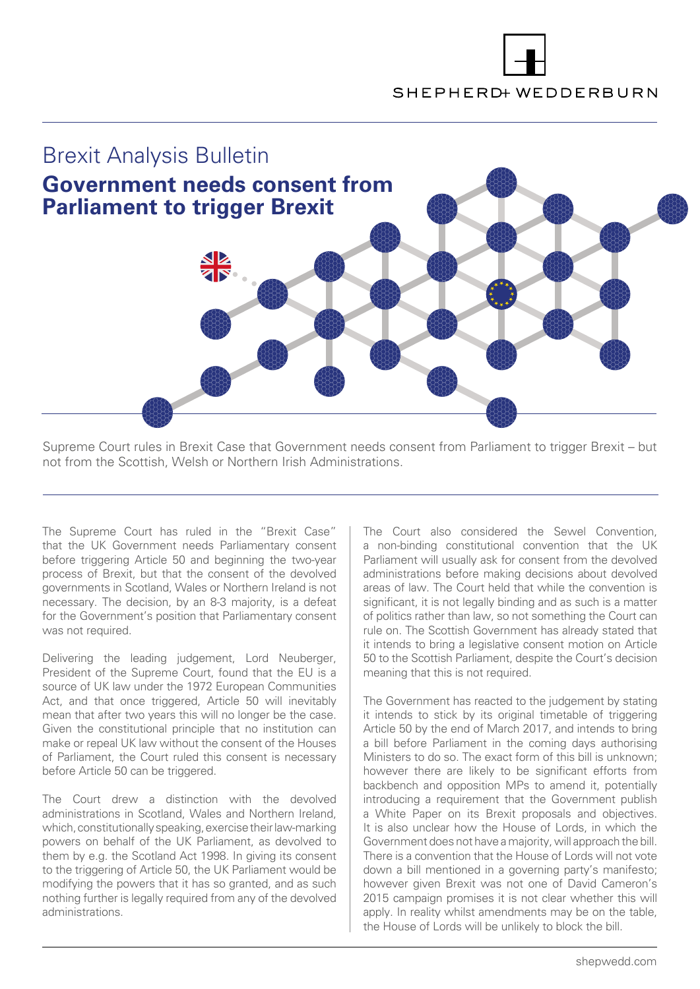# SHEPHERD+ WEDDERBURN



Supreme Court rules in Brexit Case that Government needs consent from Parliament to trigger Brexit – but not from the Scottish, Welsh or Northern Irish Administrations.

The Supreme Court has ruled in the "Brexit Case" that the UK Government needs Parliamentary consent before triggering Article 50 and beginning the two-year process of Brexit, but that the consent of the devolved governments in Scotland, Wales or Northern Ireland is not necessary. The decision, by an 8-3 majority, is a defeat for the Government's position that Parliamentary consent was not required.

Delivering the leading judgement, Lord Neuberger, President of the Supreme Court, found that the EU is a source of UK law under the 1972 European Communities Act, and that once triggered, Article 50 will inevitably mean that after two years this will no longer be the case. Given the constitutional principle that no institution can make or repeal UK law without the consent of the Houses of Parliament, the Court ruled this consent is necessary before Article 50 can be triggered.

The Court drew a distinction with the devolved administrations in Scotland, Wales and Northern Ireland, which, constitutionally speaking, exercise their law-marking powers on behalf of the UK Parliament, as devolved to them by e.g. the Scotland Act 1998. In giving its consent to the triggering of Article 50, the UK Parliament would be modifying the powers that it has so granted, and as such nothing further is legally required from any of the devolved administrations.

The Court also considered the Sewel Convention, a non-binding constitutional convention that the UK Parliament will usually ask for consent from the devolved administrations before making decisions about devolved areas of law. The Court held that while the convention is significant, it is not legally binding and as such is a matter of politics rather than law, so not something the Court can rule on. The Scottish Government has already stated that it intends to bring a legislative consent motion on Article 50 to the Scottish Parliament, despite the Court's decision meaning that this is not required.

The Government has reacted to the judgement by stating it intends to stick by its original timetable of triggering Article 50 by the end of March 2017, and intends to bring a bill before Parliament in the coming days authorising Ministers to do so. The exact form of this bill is unknown; however there are likely to be significant efforts from backbench and opposition MPs to amend it, potentially introducing a requirement that the Government publish a White Paper on its Brexit proposals and objectives. It is also unclear how the House of Lords, in which the Government does not have a majority, will approach the bill. There is a convention that the House of Lords will not vote down a bill mentioned in a governing party's manifesto; however given Brexit was not one of David Cameron's 2015 campaign promises it is not clear whether this will apply. In reality whilst amendments may be on the table, the House of Lords will be unlikely to block the bill.